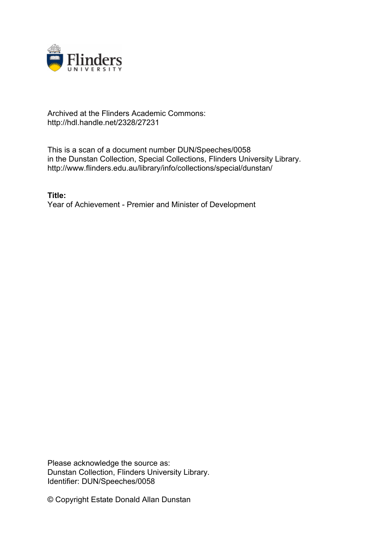

# Archived at the Flinders Academic Commons: http://hdl.handle.net/2328/27231

This is a scan of a document number DUN/Speeches/0058 in the Dunstan Collection, Special Collections, Flinders University Library. http://www.flinders.edu.au/library/info/collections/special/dunstan/

**Title:** Year of Achievement - Premier and Minister of Development

Please acknowledge the source as: Dunstan Collection, Flinders University Library. Identifier: DUN/Speeches/0058

© Copyright Estate Donald Allan Dunstan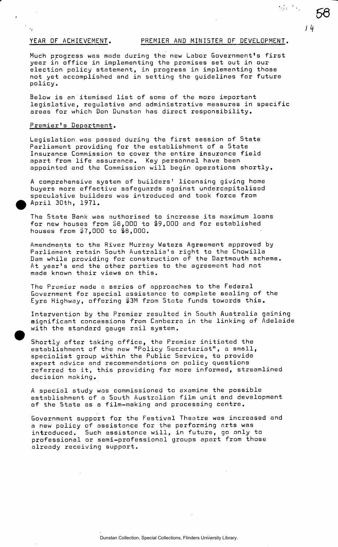$\bar{\mathcal{N}}_k$ 

*66* 

*i* (f

 $\frac{1}{2} \left( \frac{1}{2} - \frac{1}{2} \right)$ 

Much progress was made during the new Labor Government's first year in office in implementing the promises set out in our election policy statement, in progress in implementing those not yet accomplished and in setting the guidelines for future policy.

Below is an itemised list of some of the more important legislative, regulative and administrative measures in specific areas for which Don Dunstan has direct responsibility.

## Premier's Department.

Legislation.was passed during the first session of State Parliament providing for the establishment of a State Insurance Commission to cover the entire insurance field apart from life assurance. Key personnel have been appointed and the Commission will begin operations shortly.

A comprehensive system of builders' licensing giving home buyers more effective safeguards against undercapitalised speculative builders was introduced and took force from April 30th, 1971.

The State Bank was authorised to increase its maximum loans for new houses from  $$8,000$  to  $$9,000$  and for established houses from \$7,000 to §8,000.

Amendments to the River Murray Waters Agreement approved by Parliament retain South Australia's right to the Chowilla Dam while providing for construction of the Dartmouth scheme. At year's end the other parties to the agreement had not made known their views on this.

The Premier made a series of approaches to the Federal Government for special assistance to complete sealing of the Eyre Highway, offering  $$3M$  from State funds towards this.

Intervention by the Premier resulted in South Australia gaining significant concessions from Canberra in the linking of Adelaide with the standard gauge rail system.

Shortly after taking office, the Premier initiated the establishment of the new "Policy Secretariat", a small, specialist group within the Public Service, to provide expert advice and recommendations on policy questions referred to it, this providing far more informed, streamlined decision making.

A special study was commissioned to examine the possible establishment of a South Australian film unit and development of the State as a film-making and processing centre.

Government support for the Festival Theatre was increased and a new policy of assistance for the performing arts was introduced. Such assistance will, in future, go only to professional or semi-professional groups apart from those already receiving support.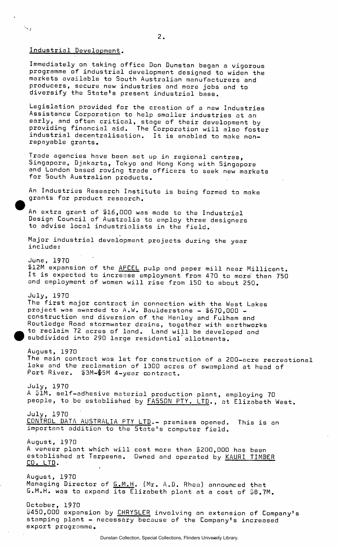Industrial Development.

 $\searrow$ 

Immediately on taking office Don Dunstan began a vigorous programme of industrial development designed to widen the markets available to South Australian manufacturers and producers, secure new industries and more jobs and to diversify the State's present industrial base.

Legislation provided for the creation of a new Industries Assistance Corporation to help smaller industries at an early, and often critical, stage of their development by providing financial aid. The Corporation will also foster industrial decentralisation. It is enabled to make nonrepayable grants.

Trade agencies have been set up in regional centres, Singapore, Djakarta, Tokyo and Hong Kong with Singapore and London based roving trade officers to seek new markets for South Australian products.

An Industries Research Institute is being formed to make grants for product research.

An extra grant of \$16,000 was made to the Industrial Design Council of Australia to employ three designers to advise local industrialists in the field.

Major industrial development projects during the year include:

June, 1970 \$12M expansion of the <u>APCEL</u> pulp and paper mill near Millicent. It is expected to increase employment from 470 to more than 750 and employment of women will rise from 150 to about 250.

July, 1970 The first major contract in connection with the West Lakes project was awarded to A.W. Baulderstone - 1670,000 construction and diversion of the Henley and Fulham and Routledge Road stormwater drains, together with earthworks to reclaim 72 acres of land. Land will be developed and subdivided into 290 large residential'allotments.

August, 1970 The main contract was let for construction of a 200-acre recreational lake and the reclamation of 1300 acres of swampland at head of Port River. \$3M-\$5M 4-year contract.

July, 1970 A &1M. self-adhesive material production plant, employing 70 people, to be established by FASSON PTY. LTD., at Elizabeth West.

July, 1970 CONTROL DATA AUSTRALIA PTY LTD.- premises opened. This is an important addition to the State's computer field.

August, 1970 A veneer plant which will cost more than \$200,000 has been established at Tarpeena. Owned and operated by KAURI TIMBER CO. LTD.

August, 1970 Managing Director of G.M.H. (Mr. A.D. Rhea) announced that G.M.H. was to expand its Elizabeth plant at a cost of  $\$8$ .7M.

October, 1970 \$450,000 expansion by CHRYSLER involving an extension of Company's stamping plant - necessary because of the Company's increased export programme.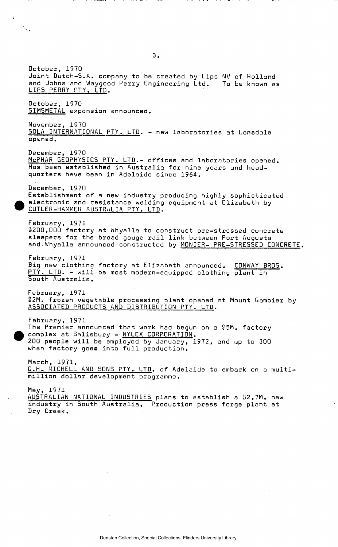October, 1970 Joint Dutch-S.A. company to be created by Lips NV of Holland and Johns and Waygood Perry Engineering Ltd. To be known as LIPS PERRY PTY. LTD. October, 1970<br>SIMSMETAL expansion announced. SIMSMETAL expansion announced. November, 1970<br><u>SOLA INTERNATIONAL PTY. LTD</u>. – new laboratories at Lon**s**dale opened. December, 1970 McPHAR GEOPHYSICS PTY. LTD.- offices and laboratories opened. Has been established in Australia for nine years and headquarters have been in Adelaide since 1964. December, 1970 Establishment of a new industry producing highly sophisticated electronic and resistance welding equipment at Elizabeth by CUTLER-HAMMER AUSTRALIA PTY. LTD. February, 1971 \$200,000 factory at Whyalla to construct pre-stressed concrete sleepers for the broad gauge rail link between Port Augusta and Whyalla announced constructed by MONIER- PRE-STRESSED CONCRETE. February, 1971 Big new clothing factory at Elizabeth announced. CONWAY BROS. PTY. LTD. - will be most modern-equipped clothing plant in South Australia. February, 1971 \$2M. frozen vegetable processing plant opened at Mount Gambier by ASSOCIATED PRODUCTS AND DISTRIBUTION PTY. LTD. February, 1971 The Premier announced that work had begun on a \$5M. factory complex at Salisbury - NYLEX CORPORATION. 200 people will be employed by January, 1972, and up to 300 when factory goes into full production. March,. 1971. G.H.. MICHELL AND SONS PTY. LTD. of Adelaide to embark on a multimillion dollar development programme. May, 1971 AUSTRALIAN NATIONAL INDUSTRIES plans to establish a \$2.7M. new industry in South Australia. Production press forge plant at Dry Creek,

**3.**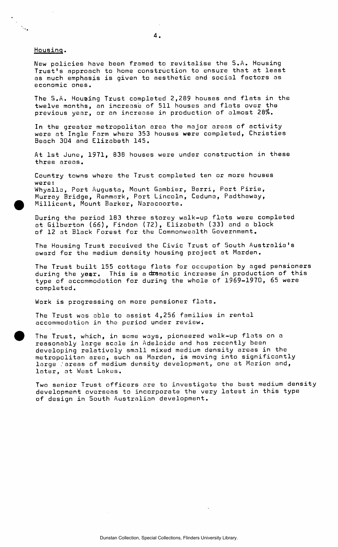#### Housing.

 $\frac{1}{\sqrt{2}}$  $\mathcal{L}_{\mathcal{A}}$ 

> New policies have been framed to revitalise the 5.A. Housing Trust's approach to home construction to ensure that at least as much emphasis is given to aesthetic and social factors as economic ones.

The S.A. Houeing Trust completed 2,289 houses and flats in the twelve months, an increase of 511 houses and flats over the previous year, or an increase in production of almost 28%.

In the greater metropolitan area the major areas of activity were at Ingle Farm where 353 houses were completed, Christies Beach 304 and Elizabeth 145.

At 1st June, 1971, 838 houses were under construction in these three areas.

Country towns where the Trust completed ten or more houses were: Whyalla, Port Augusta, Mount Gambier, Berri, Port Pirie, Murray Bridge, Renmark, Port Lincoln, Ceduna, Padthaway, Millicent, Mount Barker, Naracoorte.

During the period 183 three storey walk-up flats were completed at Gilberton (66), Findon (72), Elizabeth (33) and a block of 12 at Black Forest for the Commonwealth Government.

The Housing Trust received the Civic Trust of South Australia's award for the medium density housing project at Marden.

The Trust built 155 cottage flats for occupation by aged pensioners during the year. This is a dramatic increase in production of this type of accommodation for during the whole of 1969-1970, 65 were completed.

Work is progressing on more pensioner flats.

The Trust was able to assist 4,256 families in rental accommodation in the period under review.

The Trust, which, in some ways, pioneered walk-up flats on a reasonably large scale in Adelaide and has recently been developing relatively small mixed medium density areas in the metropolitan area, such as Marden, is moving into significantly large lareas of medium density development, one at Marion and, later, at West Lakes.

Two senior Trust officers are to investigate the best medium density development overseas to incorporate the very latest in this type of design in South Australian development.